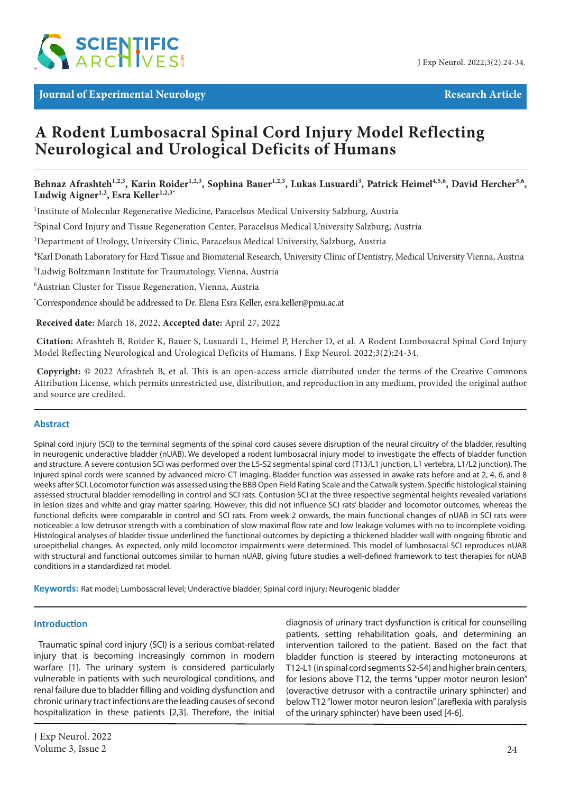

**Journal of Experimental Neurology Research Article Research Article** 

# **A Rodent Lumbosacral Spinal Cord Injury Model Reflecting Neurological and Urological Deficits of Humans**

Behnaz Afrashteh<sup>1,2,3</sup>, Karin Roider<sup>1,2,3</sup>, Sophina Bauer<sup>1,2,3</sup>, Lukas Lusuardi<sup>3</sup>, Patrick Heimel<sup>4,5,6</sup>, David Hercher<sup>5,6</sup>, Ludwig Aigner<sup>1,2</sup>, Esra Keller<sup>1,2,3\*</sup>

<sup>1</sup>Institute of Molecular Regenerative Medicine, Paracelsus Medical University Salzburg, Austria

2 Spinal Cord Injury and Tissue Regeneration Center, Paracelsus Medical University Salzburg, Austria

<sup>3</sup>Department of Urology, University Clinic, Paracelsus Medical University, Salzburg, Austria

4 Karl Donath Laboratory for Hard Tissue and Biomaterial Research, University Clinic of Dentistry, Medical University Vienna, Austria

5 Ludwig Boltzmann Institute for Traumatology, Vienna, Austria

6 Austrian Cluster for Tissue Regeneration, Vienna, Austria

\* Correspondence should be addressed to Dr. Elena Esra Keller, esra.keller@pmu.ac.at

 **Received date:** March 18, 2022, **Accepted date:** April 27, 2022

**Citation:** Afrashteh B, Roider K, Bauer S, Lusuardi L, Heimel P, Hercher D, et al. A Rodent Lumbosacral Spinal Cord Injury Model Reflecting Neurological and Urological Deficits of Humans. J Exp Neurol. 2022;3(2):24-34.

**Copyright:** © 2022 Afrashteh B, et al. This is an open-access article distributed under the terms of the Creative Commons Attribution License, which permits unrestricted use, distribution, and reproduction in any medium, provided the original author and source are credited.

#### **Abstract**

Spinal cord injury (SCI) to the terminal segments of the spinal cord causes severe disruption of the neural circuitry of the bladder, resulting in neurogenic underactive bladder (nUAB). We developed a rodent lumbosacral injury model to investigate the effects of bladder function and structure. A severe contusion SCI was performed over the L5-S2 segmental spinal cord (T13/L1 junction, L1 vertebra, L1/L2 junction). The injured spinal cords were scanned by advanced micro-CT imaging. Bladder function was assessed in awake rats before and at 2, 4, 6, and 8 weeks after SCI. Locomotor function was assessed using the BBB Open Field Rating Scale and the Catwalk system. Specific histological staining assessed structural bladder remodelling in control and SCI rats. Contusion SCI at the three respective segmental heights revealed variations in lesion sizes and white and gray matter sparing. However, this did not influence SCI rats' bladder and locomotor outcomes, whereas the functional deficits were comparable in control and SCI rats. From week 2 onwards, the main functional changes of nUAB in SCI rats were noticeable: a low detrusor strength with a combination of slow maximal flow rate and low leakage volumes with no to incomplete voiding. Histological analyses of bladder tissue underlined the functional outcomes by depicting a thickened bladder wall with ongoing fibrotic and uroepithelial changes. As expected, only mild locomotor impairments were determined. This model of lumbosacral SCI reproduces nUAB with structural and functional outcomes similar to human nUAB, giving future studies a well-defined framework to test therapies for nUAB conditions in a standardized rat model.

**Keywords:** Rat model; Lumbosacral level; Underactive bladder; Spinal cord injury; Neurogenic bladder

#### **Introduction**

Traumatic spinal cord injury (SCI) is a serious combat-related injury that is becoming increasingly common in modern warfare [1]. The urinary system is considered particularly vulnerable in patients with such neurological conditions, and renal failure due to bladder filling and voiding dysfunction and chronic urinary tract infections are the leading causes of second hospitalization in these patients [2,3]. Therefore, the initial diagnosis of urinary tract dysfunction is critical for counselling patients, setting rehabilitation goals, and determining an intervention tailored to the patient. Based on the fact that bladder function is steered by interacting motoneurons at T12-L1 (in spinal cord segments S2-S4) and higher brain centers, for lesions above T12, the terms "upper motor neuron lesion" (overactive detrusor with a contractile urinary sphincter) and below T12 "lower motor neuron lesion" (areflexia with paralysis of the urinary sphincter) have been used [4-6].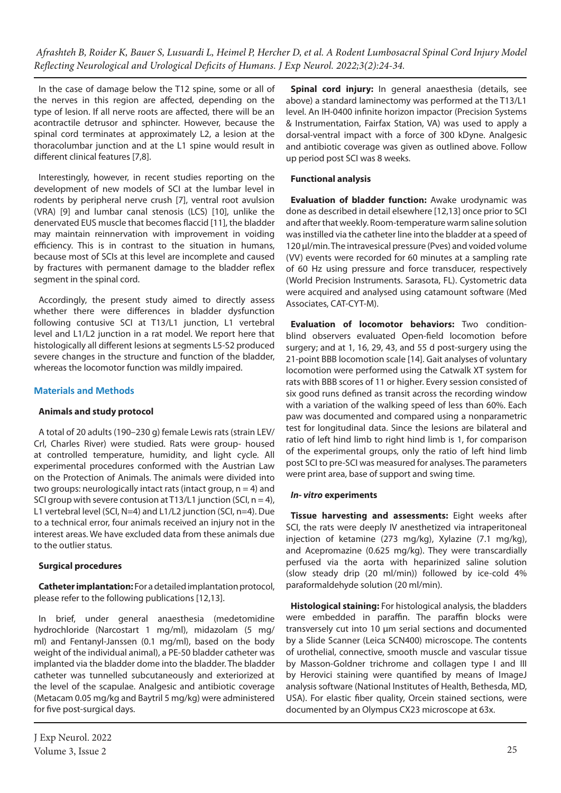In the case of damage below the T12 spine, some or all of the nerves in this region are affected, depending on the type of lesion. If all nerve roots are affected, there will be an acontractile detrusor and sphincter. However, because the spinal cord terminates at approximately L2, a lesion at the thoracolumbar junction and at the L1 spine would result in different clinical features [7,8].

Interestingly, however, in recent studies reporting on the development of new models of SCI at the lumbar level in rodents by peripheral nerve crush [7], ventral root avulsion (VRA) [9] and lumbar canal stenosis (LCS) [10], unlike the denervated EUS muscle that becomes flaccid [11], the bladder may maintain reinnervation with improvement in voiding efficiency. This is in contrast to the situation in humans, because most of SCIs at this level are incomplete and caused by fractures with permanent damage to the bladder reflex segment in the spinal cord.

Accordingly, the present study aimed to directly assess whether there were differences in bladder dysfunction following contusive SCI at T13/L1 junction, L1 vertebral level and L1/L2 junction in a rat model. We report here that histologically all different lesions at segments L5-S2 produced severe changes in the structure and function of the bladder, whereas the locomotor function was mildly impaired.

# **Materials and Methods**

# **Animals and study protocol**

A total of 20 adults (190–230 g) female Lewis rats (strain LEV/ Crl, Charles River) were studied. Rats were group- housed at controlled temperature, humidity, and light cycle. All experimental procedures conformed with the Austrian Law on the Protection of Animals. The animals were divided into two groups: neurologically intact rats (intact group,  $n = 4$ ) and SCI group with severe contusion at T13/L1 junction (SCI,  $n = 4$ ), L1 vertebral level (SCI, N=4) and L1/L2 junction (SCI, n=4). Due to a technical error, four animals received an injury not in the interest areas. We have excluded data from these animals due to the outlier status.

# **Surgical procedures**

**Catheter implantation:** For a detailed implantation protocol, please refer to the following publications [12,13].

In brief, under general anaesthesia (medetomidine hydrochloride (Narcostart 1 mg/ml), midazolam (5 mg/ ml) and Fentanyl-Janssen (0.1 mg/ml), based on the body weight of the individual animal), a PE-50 bladder catheter was implanted via the bladder dome into the bladder. The bladder catheter was tunnelled subcutaneously and exteriorized at the level of the scapulae. Analgesic and antibiotic coverage (Metacam 0.05 mg/kg and Baytril 5 mg/kg) were administered for five post-surgical days.

**Spinal cord injury:** In general anaesthesia (details, see above) a standard laminectomy was performed at the T13/L1 level. An IH-0400 infinite horizon impactor (Precision Systems & Instrumentation, Fairfax Station, VA) was used to apply a dorsal-ventral impact with a force of 300 kDyne. Analgesic and antibiotic coverage was given as outlined above. Follow up period post SCI was 8 weeks.

# **Functional analysis**

**Evaluation of bladder function:** Awake urodynamic was done as described in detail elsewhere [12,13] once prior to SCI and after that weekly. Room-temperature warm saline solution was instilled via the catheter line into the bladder at a speed of 120 µl/min. The intravesical pressure (Pves) and voided volume (VV) events were recorded for 60 minutes at a sampling rate of 60 Hz using pressure and force transducer, respectively (World Precision Instruments. Sarasota, FL). Cystometric data were acquired and analysed using catamount software (Med Associates, CAT-CYT-M).

**Evaluation of locomotor behaviors:** Two conditionblind observers evaluated Open-field locomotion before surgery; and at 1, 16, 29, 43, and 55 d post-surgery using the 21-point BBB locomotion scale [14]. Gait analyses of voluntary locomotion were performed using the Catwalk XT system for rats with BBB scores of 11 or higher. Every session consisted of six good runs defined as transit across the recording window with a variation of the walking speed of less than 60%. Each paw was documented and compared using a nonparametric test for longitudinal data. Since the lesions are bilateral and ratio of left hind limb to right hind limb is 1, for comparison of the experimental groups, only the ratio of left hind limb post SCI to pre-SCI was measured for analyses. The parameters were print area, base of support and swing time.

# *In- vitro* **experiments**

**Tissue harvesting and assessments:** Eight weeks after SCI, the rats were deeply IV anesthetized via intraperitoneal injection of ketamine (273 mg/kg), Xylazine (7.1 mg/kg), and Acepromazine (0.625 mg/kg). They were transcardially perfused via the aorta with heparinized saline solution (slow steady drip (20 ml/min)) followed by ice-cold 4% paraformaldehyde solution (20 ml/min).

**Histological staining:** For histological analysis, the bladders were embedded in paraffin. The paraffin blocks were transversely cut into 10 µm serial sections and documented by a Slide Scanner (Leica SCN400) microscope. The contents of urothelial, connective, smooth muscle and vascular tissue by Masson-Goldner trichrome and collagen type I and III by Herovici staining were quantified by means of ImageJ analysis software (National Institutes of Health, Bethesda, MD, USA). For elastic fiber quality, Orcein stained sections, were documented by an Olympus CX23 microscope at 63x.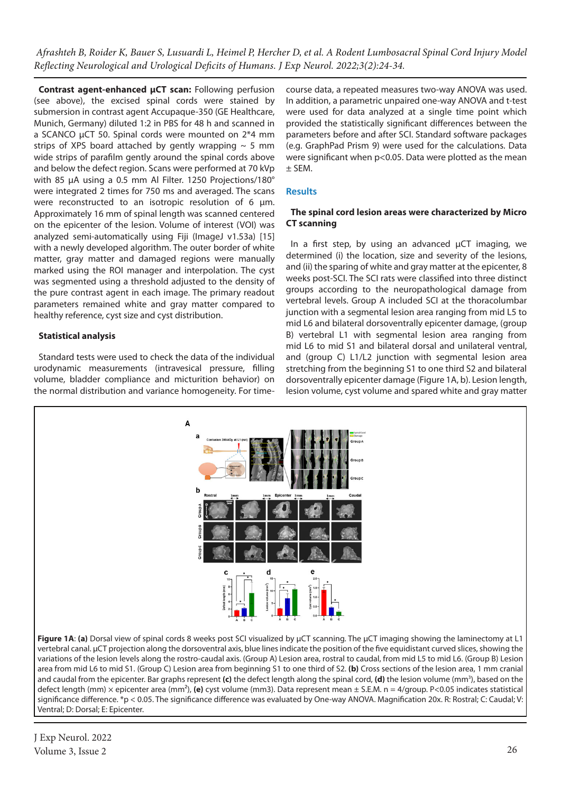**Contrast agent-enhanced µCT scan:** Following perfusion (see above), the excised spinal cords were stained by submersion in contrast agent Accupaque-350 (GE Healthcare, Munich, Germany) diluted 1:2 in PBS for 48 h and scanned in a SCANCO µCT 50. Spinal cords were mounted on 2\*4 mm strips of XPS board attached by gently wrapping  $\sim$  5 mm wide strips of parafilm gently around the spinal cords above and below the defect region. Scans were performed at 70 kVp with 85 µA using a 0.5 mm Al Filter. 1250 Projections/180° were integrated 2 times for 750 ms and averaged. The scans were reconstructed to an isotropic resolution of 6 µm. Approximately 16 mm of spinal length was scanned centered on the epicenter of the lesion. Volume of interest (VOI) was analyzed semi-automatically using Fiji (ImageJ v1.53a) [15] with a newly developed algorithm. The outer border of white matter, gray matter and damaged regions were manually marked using the ROI manager and interpolation. The cyst was segmented using a threshold adjusted to the density of the pure contrast agent in each image. The primary readout parameters remained white and gray matter compared to healthy reference, cyst size and cyst distribution.

# **Statistical analysis**

Standard tests were used to check the data of the individual urodynamic measurements (intravesical pressure, filling volume, bladder compliance and micturition behavior) on the normal distribution and variance homogeneity. For timecourse data, a repeated measures two-way ANOVA was used. In addition, a parametric unpaired one-way ANOVA and t-test were used for data analyzed at a single time point which provided the statistically significant differences between the parameters before and after SCI. Standard software packages (e.g. GraphPad Prism 9) were used for the calculations. Data were significant when p<0.05. Data were plotted as the mean ± SEM.

# **Results**

#### **The spinal cord lesion areas were characterized by Micro CT scanning**

In a first step, by using an advanced μCT imaging, we determined (i) the location, size and severity of the lesions, and (ii) the sparing of white and gray matter at the epicenter, 8 weeks post-SCI. The SCI rats were classified into three distinct groups according to the neuropathological damage from vertebral levels. Group A included SCI at the thoracolumbar junction with a segmental lesion area ranging from mid L5 to mid L6 and bilateral dorsoventrally epicenter damage, (group B) vertebral L1 with segmental lesion area ranging from mid L6 to mid S1 and bilateral dorsal and unilateral ventral, and (group C) L1/L2 junction with segmental lesion area stretching from the beginning S1 to one third S2 and bilateral dorsoventrally epicenter damage (Figure 1A, b). Lesion length, lesion volume, cyst volume and spared white and gray matter



Ventral; D: Dorsal; E: Epicenter.

J Exp Neurol. 2022 Volume 3, Issue 2  $26$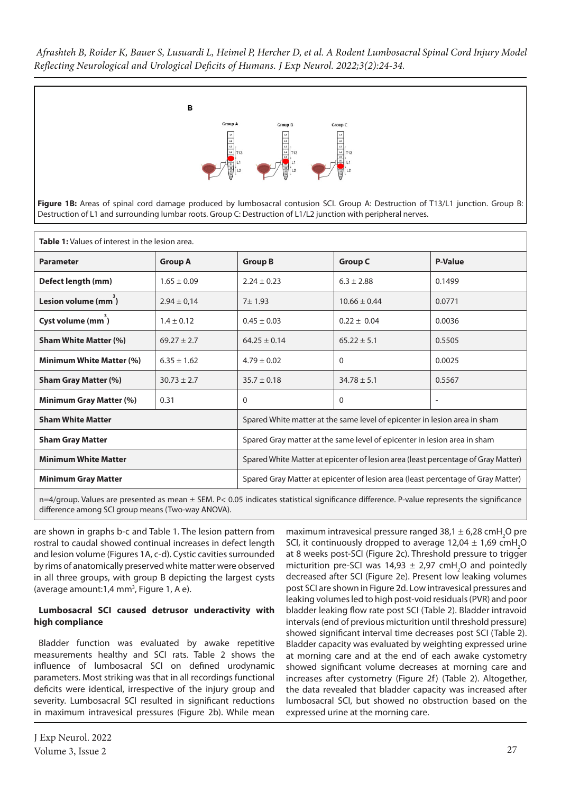

Figure 1B: Areas of spinal cord damage produced by lumbosacral contusion SCI. Group A: Destruction of T13/L1 junction. Group B: Destruction of L1 and surrounding lumbar roots. Group C: Destruction of L1/L2 junction with peripheral nerves.

| <b>Table 1:</b> Values of interest in the lesion area. |                 |                                                                                   |                  |                          |  |  |  |  |
|--------------------------------------------------------|-----------------|-----------------------------------------------------------------------------------|------------------|--------------------------|--|--|--|--|
| <b>Parameter</b>                                       | <b>Group A</b>  | <b>Group B</b>                                                                    | <b>Group C</b>   | <b>P-Value</b>           |  |  |  |  |
| Defect length (mm)                                     | $1.65 \pm 0.09$ | $2.24 \pm 0.23$                                                                   | $6.3 \pm 2.88$   | 0.1499                   |  |  |  |  |
| Lesion volume (mm <sup>3</sup> )                       | $2.94 \pm 0.14$ | 7±1.93                                                                            | $10.66 \pm 0.44$ | 0.0771                   |  |  |  |  |
| Cyst volume (mm <sup>3</sup> )                         | $1.4 \pm 0.12$  | $0.45 \pm 0.03$                                                                   | $0.22 \pm 0.04$  | 0.0036                   |  |  |  |  |
| <b>Sham White Matter (%)</b>                           | $69.27 \pm 2.7$ | $64.25 \pm 0.14$                                                                  | $65.22 \pm 5.1$  | 0.5505                   |  |  |  |  |
| Minimum White Matter (%)                               | $6.35 \pm 1.62$ | $4.79 \pm 0.02$                                                                   | $\Omega$         | 0.0025                   |  |  |  |  |
| <b>Sham Gray Matter (%)</b>                            | $30.73 \pm 2.7$ | $35.7 \pm 0.18$                                                                   | $34.78 \pm 5.1$  | 0.5567                   |  |  |  |  |
| Minimum Gray Matter (%)                                | 0.31            | $\Omega$                                                                          | $\Omega$         | $\overline{\phantom{0}}$ |  |  |  |  |
| <b>Sham White Matter</b>                               |                 | Spared White matter at the same level of epicenter in lesion area in sham         |                  |                          |  |  |  |  |
| <b>Sham Gray Matter</b>                                |                 | Spared Gray matter at the same level of epicenter in lesion area in sham          |                  |                          |  |  |  |  |
| <b>Minimum White Matter</b>                            |                 | Spared White Matter at epicenter of lesion area (least percentage of Gray Matter) |                  |                          |  |  |  |  |
| <b>Minimum Gray Matter</b>                             |                 | Spared Gray Matter at epicenter of lesion area (least percentage of Gray Matter)  |                  |                          |  |  |  |  |

n=4/group. Values are presented as mean ± SEM. P< 0.05 indicates statistical significance difference. P-value represents the significance difference among SCI group means (Two-way ANOVA).

are shown in graphs b-c and Table 1. The lesion pattern from rostral to caudal showed continual increases in defect length and lesion volume (Figures 1A, c-d). Cystic cavities surrounded by rims of anatomically preserved white matter were observed in all three groups, with group B depicting the largest cysts (average amount: $1,4$  mm<sup>3</sup>, Figure 1, A e).

#### **Lumbosacral SCI caused detrusor underactivity with high compliance**

Bladder function was evaluated by awake repetitive measurements healthy and SCI rats. Table 2 shows the influence of lumbosacral SCI on defined urodynamic parameters. Most striking was that in all recordings functional deficits were identical, irrespective of the injury group and severity. Lumbosacral SCI resulted in significant reductions in maximum intravesical pressures (Figure 2b). While mean maximum intravesical pressure ranged 38,1  $\pm$  6,28 cmH<sub>2</sub>O pre SCI, it continuously dropped to average  $12,04 \pm 1,69$  cmH<sub>2</sub>O at 8 weeks post-SCI (Figure 2c). Threshold pressure to trigger micturition pre-SCI was  $14,93 \pm 2,97$  cmH<sub>2</sub>O and pointedly decreased after SCI (Figure 2e). Present low leaking volumes post SCI are shown in Figure 2d. Low intravesical pressures and leaking volumes led to high post-void residuals (PVR) and poor bladder leaking flow rate post SCI (Table 2). Bladder intravoid intervals (end of previous micturition until threshold pressure) showed significant interval time decreases post SCI (Table 2). Bladder capacity was evaluated by weighting expressed urine at morning care and at the end of each awake cystometry showed significant volume decreases at morning care and increases after cystometry (Figure 2f) (Table 2). Altogether, the data revealed that bladder capacity was increased after lumbosacral SCI, but showed no obstruction based on the expressed urine at the morning care.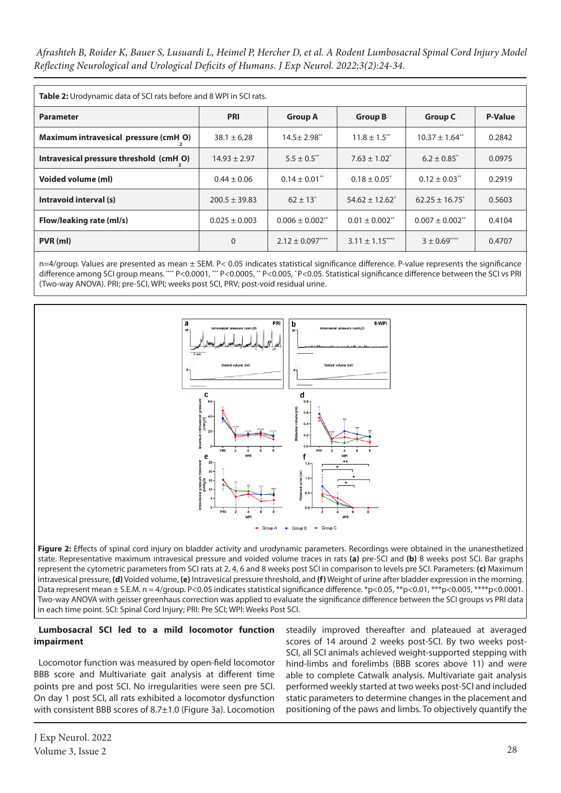*Afrashteh B, Roider K, Bauer S, Lusuardi L, Heimel P, Hercher D, et al. A Rodent Lumbosacral Spinal Cord Injury Model Reflecting Neurological and Urological Deficits of Humans. J Exp Neurol. 2022;3(2):24-34.*

| <b>Table 2:</b> Urodynamic data of SCI rats before and 8 WPI in SCI rats. |                   |                                 |                                |                                 |                |  |  |  |  |  |
|---------------------------------------------------------------------------|-------------------|---------------------------------|--------------------------------|---------------------------------|----------------|--|--|--|--|--|
| <b>Parameter</b>                                                          | <b>PRI</b>        | <b>Group A</b>                  | <b>Group B</b>                 | <b>Group C</b>                  | <b>P-Value</b> |  |  |  |  |  |
| Maximum intravesical pressure (cmH O)                                     | $38.1 \pm 6.28$   | $14.5 \pm 2.98$ <sup>**</sup>   | $11.8 \pm 1.5$ **              | $10.37 \pm 1.64$ <sup>**</sup>  | 0.2842         |  |  |  |  |  |
| Intravesical pressure threshold (cmH O)                                   | $14.93 \pm 2.97$  | $5.5 \pm 0.5$ **                | $7.63 \pm 1.02^*$              | $6.2 \pm 0.85^*$                | 0.0975         |  |  |  |  |  |
| Voided volume (ml)                                                        | $0.44 \pm 0.06$   | $0.14 \pm 0.01$ <sup>**</sup>   | $0.18 \pm 0.05^*$              | $0.12 \pm 0.03$ **              | 0.2919         |  |  |  |  |  |
| Intravoid interval (s)                                                    | $200.5 \pm 39.83$ | $62 \pm 13$ <sup>*</sup>        | $54.62 \pm 12.62^*$            | $62.25 \pm 16.75$               | 0.5603         |  |  |  |  |  |
| Flow/leaking rate (ml/s)                                                  | $0.025 \pm 0.003$ | $0.006 \pm 0.002$ <sup>**</sup> | $0.01 \pm 0.002$ <sup>**</sup> | $0.007 \pm 0.002$ <sup>**</sup> | 0.4104         |  |  |  |  |  |
| PVR (ml)                                                                  | $\mathbf 0$       | $2.12 \pm 0.097***$             | $3.11 \pm 1.15***$             | $3 \pm 0.69$ <sup>****</sup>    | 0.4707         |  |  |  |  |  |

n=4/group. Values are presented as mean ± SEM. P< 0.05 indicates statistical significance difference. P-value represents the significance difference among SCI group means. \*\*\*\* P<0.0001, \*\*\* P<0.0005, \*\* P<0.005, \*P<0.05. Statistical significance difference between the SCI vs PRI (Two-way ANOVA). PRI; pre-SCI, WPI; weeks post SCI, PRV; post-void residual urine.



**Figure 2:** Effects of spinal cord injury on bladder activity and urodynamic parameters. Recordings were obtained in the unanesthetized state. Representative maximum intravesical pressure and voided volume traces in rats **(a)** pre-SCI and **(b)** 8 weeks post SCI. Bar graphs represent the cytometric parameters from SCI rats at 2, 4, 6 and 8 weeks post SCI in comparison to levels pre SCI. Parameters: **(c)** Maximum intravesical pressure, **(d)** Voided volume, **(e)** Intravesical pressure threshold, and **(f)** Weight of urine after bladder expression in the morning. Data represent mean ± S.E.M. n = 4/group. P<0.05 indicates statistical significance difference. \*p<0.05, \*\*\*p<0.01, \*\*\*p<0.005, \*\*\*\*p<0.0001. Two-way ANOVA with geisser greenhaus correction was applied to evaluate the significance difference between the SCI groups vs PRI data in each time point. SCI: Spinal Cord Injury; PRI: Pre SCI; WPI: Weeks Post SCI.

# **Lumbosacral SCI led to a mild locomotor function impairment**

Locomotor function was measured by open-field locomotor BBB score and Multivariate gait analysis at different time points pre and post SCI. No irregularities were seen pre SCI. On day 1 post SCI, all rats exhibited a locomotor dysfunction with consistent BBB scores of 8.7±1.0 (Figure 3a). Locomotion

steadily improved thereafter and plateaued at averaged scores of 14 around 2 weeks post-SCI. By two weeks post-SCI, all SCI animals achieved weight-supported stepping with hind-limbs and forelimbs (BBB scores above 11) and were able to complete Catwalk analysis. Multivariate gait analysis performed weekly started at two weeks post-SCI and included static parameters to determine changes in the placement and positioning of the paws and limbs. To objectively quantify the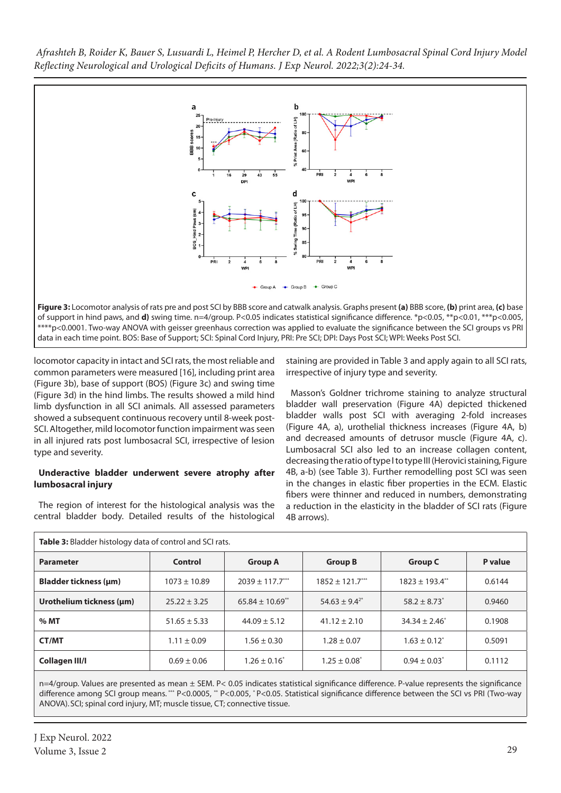

locomotor capacity in intact and SCI rats, the most reliable and common parameters were measured [16], including print area (Figure 3b), base of support (BOS) (Figure 3c) and swing time (Figure 3d) in the hind limbs. The results showed a mild hind limb dysfunction in all SCI animals. All assessed parameters showed a subsequent continuous recovery until 8-week post-SCI. Altogether, mild locomotor function impairment was seen in all injured rats post lumbosacral SCI, irrespective of lesion type and severity.

# **Underactive bladder underwent severe atrophy after lumbosacral injury**

The region of interest for the histological analysis was the central bladder body. Detailed results of the histological staining are provided in Table 3 and apply again to all SCI rats, irrespective of injury type and severity.

Masson's Goldner trichrome staining to analyze structural bladder wall preservation (Figure 4A) depicted thickened bladder walls post SCI with averaging 2-fold increases (Figure 4A, a), urothelial thickness increases (Figure 4A, b) and decreased amounts of detrusor muscle (Figure 4A, c). Lumbosacral SCI also led to an increase collagen content, decreasing the ratio of type I to type III (Herovici staining, Figure 4B, a-b) (see Table 3). Further remodelling post SCI was seen in the changes in elastic fiber properties in the ECM. Elastic fibers were thinner and reduced in numbers, demonstrating a reduction in the elasticity in the bladder of SCI rats (Figure 4B arrows).

| Table 3: Bladder histology data of control and SCI rats. |                  |                                 |                      |                              |         |  |  |  |
|----------------------------------------------------------|------------------|---------------------------------|----------------------|------------------------------|---------|--|--|--|
| <b>Parameter</b>                                         | Control          | <b>Group A</b>                  | <b>Group B</b>       | <b>Group C</b>               | P value |  |  |  |
| Bladder tickness (µm)                                    | $1073 \pm 10.89$ | $2039 \pm 117.7***$             | $1852 \pm 121.7***$  | $1823 \pm 193.4$ **          | 0.6144  |  |  |  |
| Urothelium tickness (µm)                                 | $25.22 \pm 3.25$ | $65.84 \pm 10.69$ <sup>**</sup> | $54.63 \pm 9.4^{2*}$ | $58.2 \pm 8.73$ <sup>*</sup> | 0.9460  |  |  |  |
| % MT                                                     | $51.65 \pm 5.33$ | $44.09 \pm 5.12$                | $41.12 \pm 2.10$     | $34.34 \pm 2.46^*$           | 0.1908  |  |  |  |
| <b>CT/MT</b>                                             | $1.11 \pm 0.09$  | $1.56 \pm 0.30$                 | $1.28 \pm 0.07$      | $1.63 \pm 0.12^*$            | 0.5091  |  |  |  |
| <b>Collagen III/I</b>                                    | $0.69 \pm 0.06$  | $1.26 \pm 0.16^*$               | $1.25 \pm 0.08^*$    | $0.94 \pm 0.03^*$            | 0.1112  |  |  |  |

n=4/group. Values are presented as mean ± SEM. P< 0.05 indicates statistical significance difference. P-value represents the significance difference among SCI group means. \*\*\* P<0.0005, \*\* P<0.005, \*P<0.05. Statistical significance difference between the SCI vs PRI (Two-way ANOVA). SCI; spinal cord injury, MT; muscle tissue, CT; connective tissue.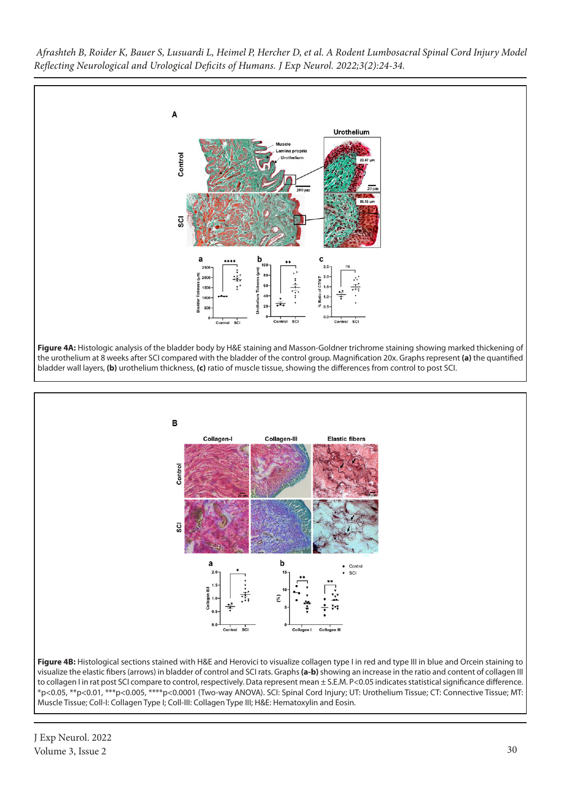



\*p<0.05, \*\*p<0.01, \*\*\*p<0.005, \*\*\*\*p<0.0001 (Two-way ANOVA). SCI: Spinal Cord Injury; UT: Urothelium Tissue; CT: Connective Tissue; MT: Muscle Tissue; Coll-I: Collagen Type I; Coll-III: Collagen Type III; H&E: Hematoxylin and Eosin.

J Exp Neurol. 2022 Volume 3, Issue 2 30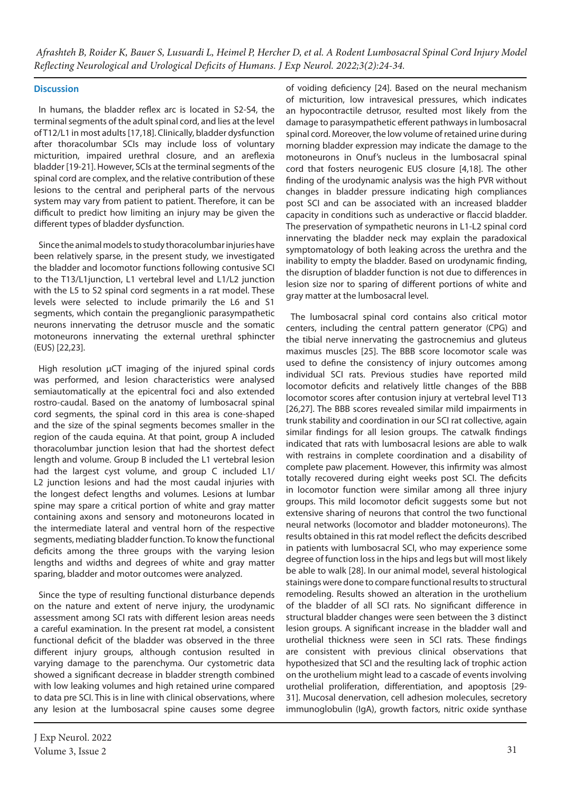# **Discussion**

In humans, the bladder reflex arc is located in S2-S4, the terminal segments of the adult spinal cord, and lies at the level of T12/L1 in most adults [17,18]. Clinically, bladder dysfunction after thoracolumbar SCIs may include loss of voluntary micturition, impaired urethral closure, and an areflexia bladder [19-21]. However, SCIs at the terminal segments of the spinal cord are complex, and the relative contribution of these lesions to the central and peripheral parts of the nervous system may vary from patient to patient. Therefore, it can be difficult to predict how limiting an injury may be given the different types of bladder dysfunction.

Since the animal models to study thoracolumbar injuries have been relatively sparse, in the present study, we investigated the bladder and locomotor functions following contusive SCI to the T13/L1junction, L1 vertebral level and L1/L2 junction with the L5 to S2 spinal cord segments in a rat model. These levels were selected to include primarily the L6 and S1 segments, which contain the preganglionic parasympathetic neurons innervating the detrusor muscle and the somatic motoneurons innervating the external urethral sphincter (EUS) [22,23].

High resolution µCT imaging of the injured spinal cords was performed, and lesion characteristics were analysed semiautomatically at the epicentral foci and also extended rostro-caudal. Based on the anatomy of lumbosacral spinal cord segments, the spinal cord in this area is cone-shaped and the size of the spinal segments becomes smaller in the region of the cauda equina. At that point, group A included thoracolumbar junction lesion that had the shortest defect length and volume. Group B included the L1 vertebral lesion had the largest cyst volume, and group C included L1/ L2 junction lesions and had the most caudal injuries with the longest defect lengths and volumes. Lesions at lumbar spine may spare a critical portion of white and gray matter containing axons and sensory and motoneurons located in the intermediate lateral and ventral horn of the respective segments, mediating bladder function. To know the functional deficits among the three groups with the varying lesion lengths and widths and degrees of white and gray matter sparing, bladder and motor outcomes were analyzed.

Since the type of resulting functional disturbance depends on the nature and extent of nerve injury, the urodynamic assessment among SCI rats with different lesion areas needs a careful examination. In the present rat model, a consistent functional deficit of the bladder was observed in the three different injury groups, although contusion resulted in varying damage to the parenchyma. Our cystometric data showed a significant decrease in bladder strength combined with low leaking volumes and high retained urine compared to data pre SCI. This is in line with clinical observations, where any lesion at the lumbosacral spine causes some degree

of voiding deficiency [24]. Based on the neural mechanism of micturition, low intravesical pressures, which indicates an hypocontractile detrusor, resulted most likely from the damage to parasympathetic efferent pathways in lumbosacral spinal cord. Moreover, the low volume of retained urine during morning bladder expression may indicate the damage to the motoneurons in Onuf's nucleus in the lumbosacral spinal cord that fosters neurogenic EUS closure [4,18]. The other finding of the urodynamic analysis was the high PVR without changes in bladder pressure indicating high compliances post SCI and can be associated with an increased bladder capacity in conditions such as underactive or flaccid bladder. The preservation of sympathetic neurons in L1-L2 spinal cord innervating the bladder neck may explain the paradoxical symptomatology of both leaking across the urethra and the inability to empty the bladder. Based on urodynamic finding, the disruption of bladder function is not due to differences in lesion size nor to sparing of different portions of white and gray matter at the lumbosacral level.

The lumbosacral spinal cord contains also critical motor centers, including the central pattern generator (CPG) and the tibial nerve innervating the gastrocnemius and gluteus maximus muscles [25]. The BBB score locomotor scale was used to define the consistency of injury outcomes among individual SCI rats. Previous studies have reported mild locomotor deficits and relatively little changes of the BBB locomotor scores after contusion injury at vertebral level T13 [26,27]. The BBB scores revealed similar mild impairments in trunk stability and coordination in our SCI rat collective, again similar findings for all lesion groups. The catwalk findings indicated that rats with lumbosacral lesions are able to walk with restrains in complete coordination and a disability of complete paw placement. However, this infirmity was almost totally recovered during eight weeks post SCI. The deficits in locomotor function were similar among all three injury groups. This mild locomotor deficit suggests some but not extensive sharing of neurons that control the two functional neural networks (locomotor and bladder motoneurons). The results obtained in this rat model reflect the deficits described in patients with lumbosacral SCI, who may experience some degree of function loss in the hips and legs but will most likely be able to walk [28]. In our animal model, several histological stainings were done to compare functional results to structural remodeling. Results showed an alteration in the urothelium of the bladder of all SCI rats. No significant difference in structural bladder changes were seen between the 3 distinct lesion groups. A significant increase in the bladder wall and urothelial thickness were seen in SCI rats. These findings are consistent with previous clinical observations that hypothesized that SCI and the resulting lack of trophic action on the urothelium might lead to a cascade of events involving urothelial proliferation, differentiation, and apoptosis [29- 31]. Mucosal denervation, cell adhesion molecules, secretory immunoglobulin (IgA), growth factors, nitric oxide synthase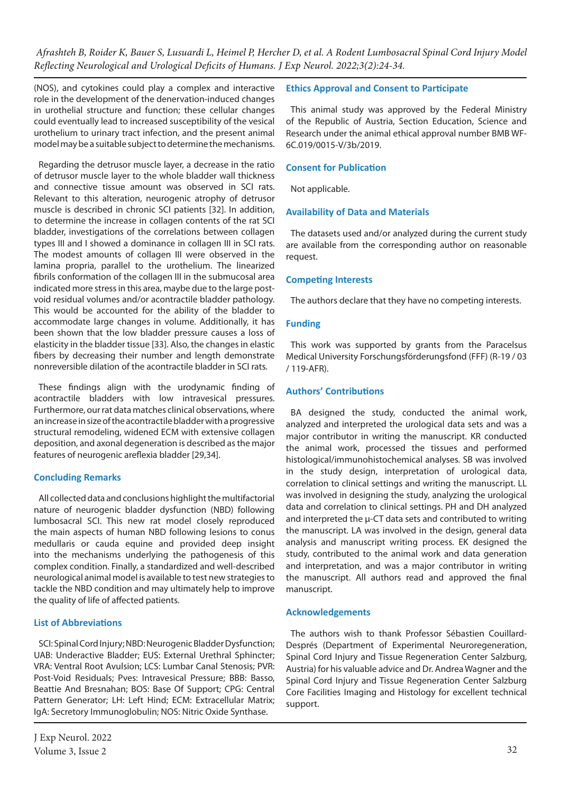(NOS), and cytokines could play a complex and interactive role in the development of the denervation-induced changes in urothelial structure and function; these cellular changes could eventually lead to increased susceptibility of the vesical urothelium to urinary tract infection, and the present animal model may be a suitable subject to determine the mechanisms.

Regarding the detrusor muscle layer, a decrease in the ratio of detrusor muscle layer to the whole bladder wall thickness and connective tissue amount was observed in SCI rats. Relevant to this alteration, neurogenic atrophy of detrusor muscle is described in chronic SCI patients [32]. In addition, to determine the increase in collagen contents of the rat SCI bladder, investigations of the correlations between collagen types III and I showed a dominance in collagen III in SCI rats. The modest amounts of collagen III were observed in the lamina propria, parallel to the urothelium. The linearized fibrils conformation of the collagen III in the submucosal area indicated more stress in this area, maybe due to the large postvoid residual volumes and/or acontractile bladder pathology. This would be accounted for the ability of the bladder to accommodate large changes in volume. Additionally, it has been shown that the low bladder pressure causes a loss of elasticity in the bladder tissue [33]. Also, the changes in elastic fibers by decreasing their number and length demonstrate nonreversible dilation of the acontractile bladder in SCI rats.

These findings align with the urodynamic finding of acontractile bladders with low intravesical pressures. Furthermore, our rat data matches clinical observations, where an increase in size of the acontractile bladder with a progressive structural remodeling, widened ECM with extensive collagen deposition, and axonal degeneration is described as the major features of neurogenic areflexia bladder [29,34].

# **Concluding Remarks**

All collected data and conclusions highlight the multifactorial nature of neurogenic bladder dysfunction (NBD) following lumbosacral SCI. This new rat model closely reproduced the main aspects of human NBD following lesions to conus medullaris or cauda equine and provided deep insight into the mechanisms underlying the pathogenesis of this complex condition. Finally, a standardized and well-described neurological animal model is available to test new strategies to tackle the NBD condition and may ultimately help to improve the quality of life of affected patients.

# **List of Abbreviations**

SCI: Spinal Cord Injury; NBD: Neurogenic Bladder Dysfunction; UAB: Underactive Bladder; EUS: External Urethral Sphincter; VRA: Ventral Root Avulsion; LCS: Lumbar Canal Stenosis; PVR: Post-Void Residuals; Pves: Intravesical Pressure; BBB: Basso, Beattie And Bresnahan; BOS: Base Of Support; CPG: Central Pattern Generator; LH: Left Hind; ECM: Extracellular Matrix; IgA: Secretory Immunoglobulin; NOS: Nitric Oxide Synthase.

# **Ethics Approval and Consent to Participate**

This animal study was approved by the Federal Ministry of the Republic of Austria, Section Education, Science and Research under the animal ethical approval number BMB WF-6C.019/0015-V/3b/2019.

# **Consent for Publication**

Not applicable.

# **Availability of Data and Materials**

The datasets used and/or analyzed during the current study are available from the corresponding author on reasonable request.

# **Competing Interests**

The authors declare that they have no competing interests.

# **Funding**

This work was supported by grants from the Paracelsus Medical University Forschungsförderungsfond (FFF) (R-19 / 03 / 119-AFR).

# **Authors' Contributions**

BA designed the study, conducted the animal work, analyzed and interpreted the urological data sets and was a major contributor in writing the manuscript. KR conducted the animal work, processed the tissues and performed histological/immunohistochemical analyses. SB was involved in the study design, interpretation of urological data, correlation to clinical settings and writing the manuscript. LL was involved in designing the study, analyzing the urological data and correlation to clinical settings. PH and DH analyzed and interpreted the  $\mu$ -CT data sets and contributed to writing the manuscript. LA was involved in the design, general data analysis and manuscript writing process. EK designed the study, contributed to the animal work and data generation and interpretation, and was a major contributor in writing the manuscript. All authors read and approved the final manuscript.

# **Acknowledgements**

The authors wish to thank Professor Sébastien Couillard-Després (Department of Experimental Neuroregeneration, Spinal Cord Injury and Tissue Regeneration Center Salzburg, Austria) for his valuable advice and Dr. Andrea Wagner and the Spinal Cord Injury and Tissue Regeneration Center Salzburg Core Facilities Imaging and Histology for excellent technical support.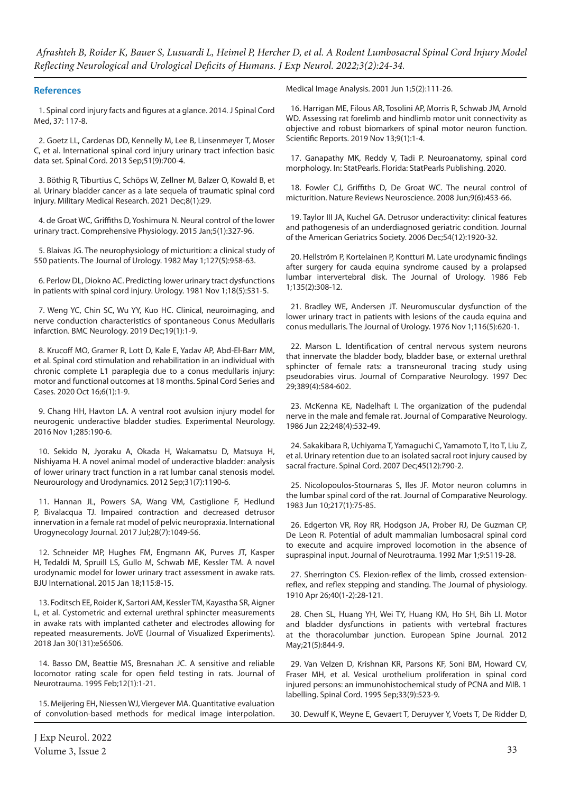#### **References**

1. Spinal cord injury facts and figures at a glance. 2014. J Spinal Cord Med, 37: 117-8.

2. Goetz LL, Cardenas DD, Kennelly M, Lee B, Linsenmeyer T, Moser C, et al. International spinal cord injury urinary tract infection basic data set. Spinal Cord. 2013 Sep;51(9):700-4.

3. Böthig R, Tiburtius C, Schöps W, Zellner M, Balzer O, Kowald B, et al. Urinary bladder cancer as a late sequela of traumatic spinal cord injury. Military Medical Research. 2021 Dec;8(1):29.

4. de Groat WC, Griffiths D, Yoshimura N. Neural control of the lower urinary tract. Comprehensive Physiology. 2015 Jan;5(1):327-96.

5. Blaivas JG. The neurophysiology of micturition: a clinical study of 550 patients. The Journal of Urology. 1982 May 1;127(5):958-63.

6. Perlow DL, Diokno AC. Predicting lower urinary tract dysfunctions in patients with spinal cord injury. Urology. 1981 Nov 1;18(5):531-5.

7. Weng YC, Chin SC, Wu YY, Kuo HC. Clinical, neuroimaging, and nerve conduction characteristics of spontaneous Conus Medullaris infarction. BMC Neurology. 2019 Dec;19(1):1-9.

8. Krucoff MO, Gramer R, Lott D, Kale E, Yadav AP, Abd-El-Barr MM, et al. Spinal cord stimulation and rehabilitation in an individual with chronic complete L1 paraplegia due to a conus medullaris injury: motor and functional outcomes at 18 months. Spinal Cord Series and Cases. 2020 Oct 16;6(1):1-9.

9. Chang HH, Havton LA. A ventral root avulsion injury model for neurogenic underactive bladder studies. Experimental Neurology. 2016 Nov 1;285:190-6.

10. Sekido N, Jyoraku A, Okada H, Wakamatsu D, Matsuya H, Nishiyama H. A novel animal model of underactive bladder: analysis of lower urinary tract function in a rat lumbar canal stenosis model. Neurourology and Urodynamics. 2012 Sep;31(7):1190-6.

11. Hannan JL, Powers SA, Wang VM, Castiglione F, Hedlund P, Bivalacqua TJ. Impaired contraction and decreased detrusor innervation in a female rat model of pelvic neuropraxia. International Urogynecology Journal. 2017 Jul;28(7):1049-56.

12. Schneider MP, Hughes FM, Engmann AK, Purves JT, Kasper H, Tedaldi M, Spruill LS, Gullo M, Schwab ME, Kessler TM. A novel urodynamic model for lower urinary tract assessment in awake rats. BJU International. 2015 Jan 18;115:8-15.

13. Foditsch EE, Roider K, Sartori AM, Kessler TM, Kayastha SR, Aigner L, et al. Cystometric and external urethral sphincter measurements in awake rats with implanted catheter and electrodes allowing for repeated measurements. JoVE (Journal of Visualized Experiments). 2018 Jan 30(131):e56506.

14. Basso DM, Beattie MS, Bresnahan JC. A sensitive and reliable locomotor rating scale for open field testing in rats. Journal of Neurotrauma. 1995 Feb;12(1):1-21.

15. Meijering EH, Niessen WJ, Viergever MA. Quantitative evaluation of convolution-based methods for medical image interpolation.

Medical Image Analysis. 2001 Jun 1;5(2):111-26.

16. Harrigan ME, Filous AR, Tosolini AP, Morris R, Schwab JM, Arnold WD. Assessing rat forelimb and hindlimb motor unit connectivity as objective and robust biomarkers of spinal motor neuron function. Scientific Reports. 2019 Nov 13;9(1):1-4.

17. Ganapathy MK, Reddy V, Tadi P. Neuroanatomy, spinal cord morphology. In: StatPearls. Florida: StatPearls Publishing. 2020.

18. Fowler CJ, Griffiths D, De Groat WC. The neural control of micturition. Nature Reviews Neuroscience. 2008 Jun;9(6):453-66.

19. Taylor III JA, Kuchel GA. Detrusor underactivity: clinical features and pathogenesis of an underdiagnosed geriatric condition. Journal of the American Geriatrics Society. 2006 Dec;54(12):1920-32.

20. Hellström P, Kortelainen P, Kontturi M. Late urodynamic findings after surgery for cauda equina syndrome caused by a prolapsed lumbar intervertebral disk. The Journal of Urology. 1986 Feb 1;135(2):308-12.

21. Bradley WE, Andersen JT. Neuromuscular dysfunction of the lower urinary tract in patients with lesions of the cauda equina and conus medullaris. The Journal of Urology. 1976 Nov 1;116(5):620-1.

22. Marson L. Identification of central nervous system neurons that innervate the bladder body, bladder base, or external urethral sphincter of female rats: a transneuronal tracing study using pseudorabies virus. Journal of Comparative Neurology. 1997 Dec 29;389(4):584-602.

23. McKenna KE, Nadelhaft I. The organization of the pudendal nerve in the male and female rat. Journal of Comparative Neurology. 1986 Jun 22;248(4):532-49.

24. Sakakibara R, Uchiyama T, Yamaguchi C, Yamamoto T, Ito T, Liu Z, et al. Urinary retention due to an isolated sacral root injury caused by sacral fracture. Spinal Cord. 2007 Dec;45(12):790-2.

25. Nicolopoulos‐Stournaras S, Iles JF. Motor neuron columns in the lumbar spinal cord of the rat. Journal of Comparative Neurology. 1983 Jun 10;217(1):75-85.

26. Edgerton VR, Roy RR, Hodgson JA, Prober RJ, De Guzman CP, De Leon R. Potential of adult mammalian lumbosacral spinal cord to execute and acquire improved locomotion in the absence of supraspinal input. Journal of Neurotrauma. 1992 Mar 1;9:S119-28.

27. Sherrington CS. Flexion-reflex of the limb, crossed extensionreflex, and reflex stepping and standing. The Journal of physiology. 1910 Apr 26;40(1-2):28-121.

28. Chen SL, Huang YH, Wei TY, Huang KM, Ho SH, Bih LI. Motor and bladder dysfunctions in patients with vertebral fractures at the thoracolumbar junction. European Spine Journal. 2012 May;21(5):844-9.

29. Van Velzen D, Krishnan KR, Parsons KF, Soni BM, Howard CV, Fraser MH, et al. Vesical urothelium proliferation in spinal cord injured persons: an immunohistochemical study of PCNA and MIB. 1 labelling. Spinal Cord. 1995 Sep;33(9):523-9.

30. Dewulf K, Weyne E, Gevaert T, Deruyver Y, Voets T, De Ridder D,